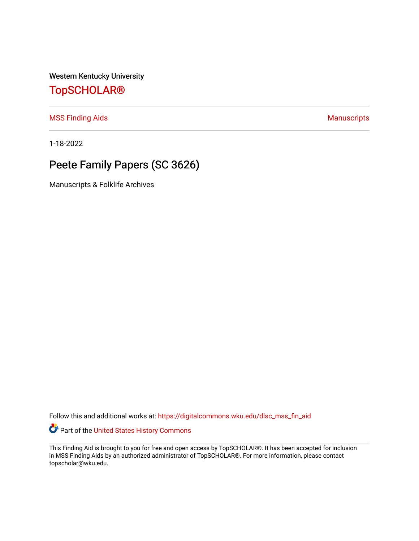Western Kentucky University

## [TopSCHOLAR®](https://digitalcommons.wku.edu/)

[MSS Finding Aids](https://digitalcommons.wku.edu/dlsc_mss_fin_aid) **Manuscripts** [Manuscripts](https://digitalcommons.wku.edu/dlsc_mss) **Manuscripts** 

1-18-2022

# Peete Family Papers (SC 3626)

Manuscripts & Folklife Archives

Follow this and additional works at: [https://digitalcommons.wku.edu/dlsc\\_mss\\_fin\\_aid](https://digitalcommons.wku.edu/dlsc_mss_fin_aid?utm_source=digitalcommons.wku.edu%2Fdlsc_mss_fin_aid%2F4990&utm_medium=PDF&utm_campaign=PDFCoverPages) 

Part of the [United States History Commons](http://network.bepress.com/hgg/discipline/495?utm_source=digitalcommons.wku.edu%2Fdlsc_mss_fin_aid%2F4990&utm_medium=PDF&utm_campaign=PDFCoverPages) 

This Finding Aid is brought to you for free and open access by TopSCHOLAR®. It has been accepted for inclusion in MSS Finding Aids by an authorized administrator of TopSCHOLAR®. For more information, please contact topscholar@wku.edu.